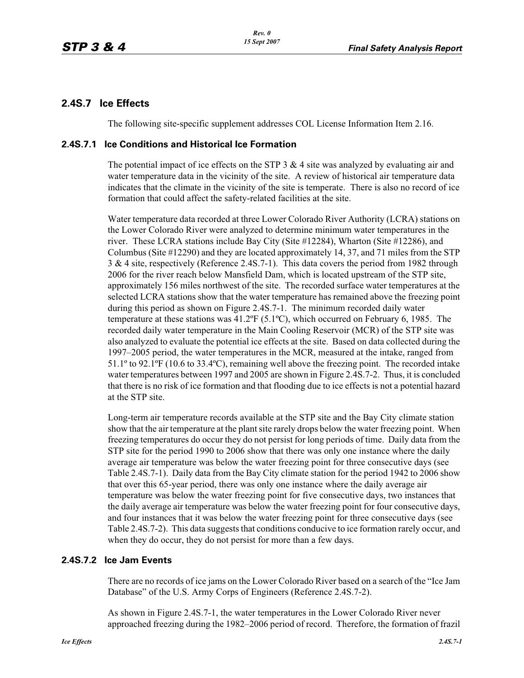## **2.4S.7 Ice Effects**

The following site-specific supplement addresses COL License Information Item 2.16.

### **2.4S.7.1 Ice Conditions and Historical Ice Formation**

The potential impact of ice effects on the STP  $3 \& 4$  site was analyzed by evaluating air and water temperature data in the vicinity of the site. A review of historical air temperature data indicates that the climate in the vicinity of the site is temperate. There is also no record of ice formation that could affect the safety-related facilities at the site.

Water temperature data recorded at three Lower Colorado River Authority (LCRA) stations on the Lower Colorado River were analyzed to determine minimum water temperatures in the river. These LCRA stations include Bay City (Site #12284), Wharton (Site #12286), and Columbus (Site #12290) and they are located approximately 14, 37, and 71 miles from the STP 3 & 4 site, respectively (Reference 2.4S.7-1). This data covers the period from 1982 through 2006 for the river reach below Mansfield Dam, which is located upstream of the STP site, approximately 156 miles northwest of the site. The recorded surface water temperatures at the selected LCRA stations show that the water temperature has remained above the freezing point during this period as shown on Figure 2.4S.7-1. The minimum recorded daily water temperature at these stations was 41.2ºF (5.1ºC), which occurred on February 6, 1985. The recorded daily water temperature in the Main Cooling Reservoir (MCR) of the STP site was also analyzed to evaluate the potential ice effects at the site. Based on data collected during the 1997–2005 period, the water temperatures in the MCR, measured at the intake, ranged from 51.1º to 92.1ºF (10.6 to 33.4ºC), remaining well above the freezing point. The recorded intake water temperatures between 1997 and 2005 are shown in Figure 2.4S.7-2. Thus, it is concluded that there is no risk of ice formation and that flooding due to ice effects is not a potential hazard at the STP site.

Long-term air temperature records available at the STP site and the Bay City climate station show that the air temperature at the plant site rarely drops below the water freezing point. When freezing temperatures do occur they do not persist for long periods of time. Daily data from the STP site for the period 1990 to 2006 show that there was only one instance where the daily average air temperature was below the water freezing point for three consecutive days (see Table 2.4S.7-1). Daily data from the Bay City climate station for the period 1942 to 2006 show that over this 65-year period, there was only one instance where the daily average air temperature was below the water freezing point for five consecutive days, two instances that the daily average air temperature was below the water freezing point for four consecutive days, and four instances that it was below the water freezing point for three consecutive days (see Table 2.4S.7-2). This data suggests that conditions conducive to ice formation rarely occur, and when they do occur, they do not persist for more than a few days.

#### **2.4S.7.2 Ice Jam Events**

There are no records of ice jams on the Lower Colorado River based on a search of the "Ice Jam Database" of the U.S. Army Corps of Engineers (Reference 2.4S.7-2).

As shown in Figure 2.4S.7-1, the water temperatures in the Lower Colorado River never approached freezing during the 1982–2006 period of record. Therefore, the formation of frazil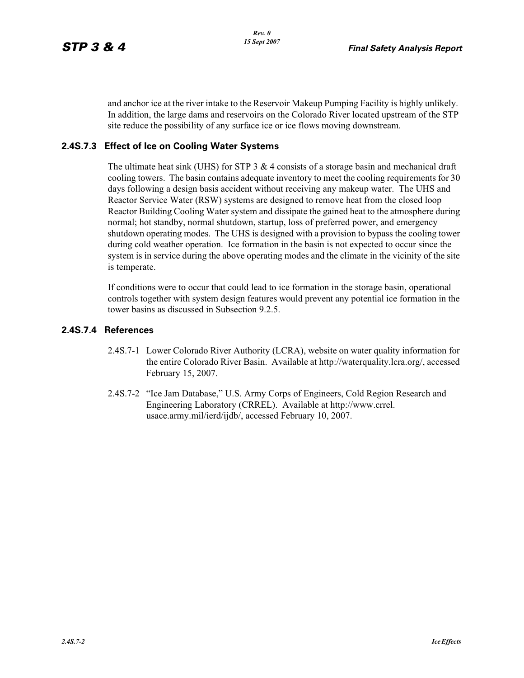and anchor ice at the river intake to the Reservoir Makeup Pumping Facility is highly unlikely. In addition, the large dams and reservoirs on the Colorado River located upstream of the STP site reduce the possibility of any surface ice or ice flows moving downstream.

### **2.4S.7.3 Effect of Ice on Cooling Water Systems**

The ultimate heat sink (UHS) for STP 3  $\&$  4 consists of a storage basin and mechanical draft cooling towers. The basin contains adequate inventory to meet the cooling requirements for 30 days following a design basis accident without receiving any makeup water. The UHS and Reactor Service Water (RSW) systems are designed to remove heat from the closed loop Reactor Building Cooling Water system and dissipate the gained heat to the atmosphere during normal; hot standby, normal shutdown, startup, loss of preferred power, and emergency shutdown operating modes. The UHS is designed with a provision to bypass the cooling tower during cold weather operation. Ice formation in the basin is not expected to occur since the system is in service during the above operating modes and the climate in the vicinity of the site is temperate.

If conditions were to occur that could lead to ice formation in the storage basin, operational controls together with system design features would prevent any potential ice formation in the tower basins as discussed in Subsection 9.2.5.

#### **2.4S.7.4 References**

- 2.4S.7-1 Lower Colorado River Authority (LCRA), website on water quality information for the entire Colorado River Basin. Available at http://waterquality.lcra.org/, accessed February 15, 2007.
- 2.4S.7-2 "Ice Jam Database," U.S. Army Corps of Engineers, Cold Region Research and Engineering Laboratory (CRREL). Available at http://www.crrel. usace.army.mil/ierd/ijdb/, accessed February 10, 2007.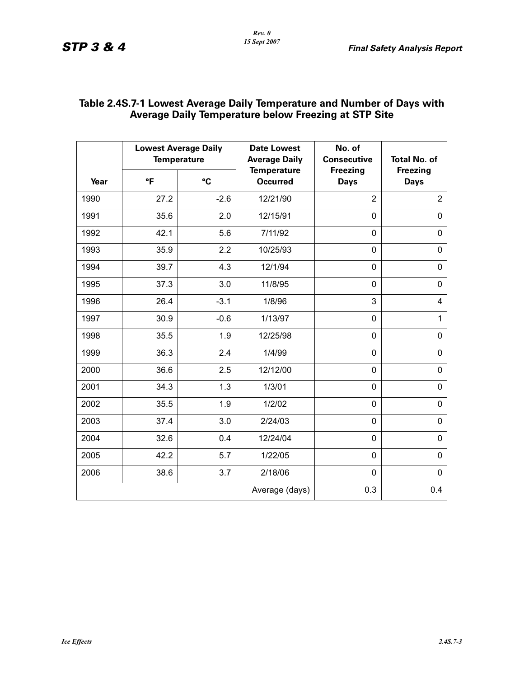|                | <b>Lowest Average Daily</b><br><b>Temperature</b> |        | <b>Date Lowest</b><br><b>Average Daily</b> | No. of<br><b>Consecutive</b>   | <b>Total No. of</b>            |
|----------------|---------------------------------------------------|--------|--------------------------------------------|--------------------------------|--------------------------------|
| Year           | °F                                                | °C     | <b>Temperature</b><br><b>Occurred</b>      | <b>Freezing</b><br><b>Days</b> | <b>Freezing</b><br><b>Days</b> |
| 1990           | 27.2                                              | $-2.6$ | 12/21/90                                   | $\overline{2}$                 | $\overline{2}$                 |
| 1991           | 35.6                                              | 2.0    | 12/15/91                                   | 0                              | $\mathbf 0$                    |
| 1992           | 42.1                                              | 5.6    | 7/11/92                                    | 0                              | 0                              |
| 1993           | 35.9                                              | 2.2    | 10/25/93                                   | 0                              | $\mathbf 0$                    |
| 1994           | 39.7                                              | 4.3    | 12/1/94                                    | 0                              | 0                              |
| 1995           | 37.3                                              | 3.0    | 11/8/95                                    | 0                              | 0                              |
| 1996           | 26.4                                              | $-3.1$ | 1/8/96                                     | 3                              | 4                              |
| 1997           | 30.9                                              | $-0.6$ | 1/13/97                                    | 0                              | $\mathbf{1}$                   |
| 1998           | 35.5                                              | 1.9    | 12/25/98                                   | 0                              | 0                              |
| 1999           | 36.3                                              | 2.4    | 1/4/99                                     | 0                              | $\mathbf 0$                    |
| 2000           | 36.6                                              | 2.5    | 12/12/00                                   | 0                              | $\mathbf 0$                    |
| 2001           | 34.3                                              | 1.3    | 1/3/01                                     | 0                              | 0                              |
| 2002           | 35.5                                              | 1.9    | 1/2/02                                     | 0                              | $\pmb{0}$                      |
| 2003           | 37.4                                              | 3.0    | 2/24/03                                    | 0                              | 0                              |
| 2004           | 32.6                                              | 0.4    | 12/24/04                                   | 0                              | $\mathbf 0$                    |
| 2005           | 42.2                                              | 5.7    | 1/22/05                                    | 0                              | $\overline{0}$                 |
| 2006           | 38.6                                              | 3.7    | 2/18/06                                    | 0                              | $\mathbf 0$                    |
| Average (days) |                                                   |        |                                            | 0.3                            | 0.4                            |

## **Table 2.4S.7-1 Lowest Average Daily Temperature and Number of Days with Average Daily Temperature below Freezing at STP Site**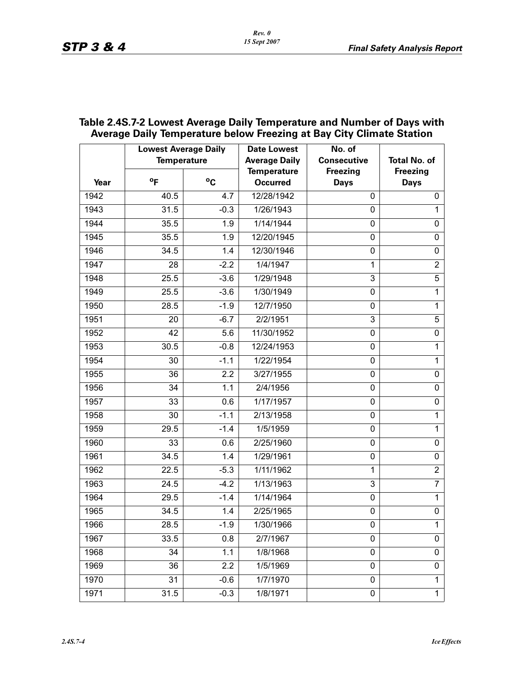|      | <b>Lowest Average Daily</b><br><b>Temperature</b> |              | <b>Date Lowest</b><br><b>Average Daily</b> | No. of<br><b>Consecutive</b>   | <b>Total No. of</b>            |
|------|---------------------------------------------------|--------------|--------------------------------------------|--------------------------------|--------------------------------|
| Year | $^{\circ}$ F                                      | $^{\circ}$ C | <b>Temperature</b><br><b>Occurred</b>      | <b>Freezing</b><br><b>Days</b> | <b>Freezing</b><br><b>Days</b> |
| 1942 | 40.5                                              | 4.7          | 12/28/1942                                 | 0                              | 0                              |
| 1943 | 31.5                                              | $-0.3$       | 1/26/1943                                  | 0                              | $\mathbf{1}$                   |
| 1944 | 35.5                                              | 1.9          | 1/14/1944                                  | $\mathbf 0$                    | 0                              |
| 1945 | 35.5                                              | 1.9          | 12/20/1945                                 | 0                              | 0                              |
| 1946 | 34.5                                              | 1.4          | 12/30/1946                                 | $\pmb{0}$                      | $\pmb{0}$                      |
| 1947 | 28                                                | $-2.2$       | 1/4/1947                                   | 1                              | $\overline{2}$                 |
| 1948 | 25.5                                              | $-3.6$       | 1/29/1948                                  | 3                              | 5                              |
| 1949 | 25.5                                              | $-3.6$       | 1/30/1949                                  | $\pmb{0}$                      | $\mathbf{1}$                   |
| 1950 | 28.5                                              | $-1.9$       | 12/7/1950                                  | 0                              | $\mathbf{1}$                   |
| 1951 | 20                                                | $-6.7$       | 2/2/1951                                   | 3                              | 5                              |
| 1952 | 42                                                | 5.6          | 11/30/1952                                 | $\pmb{0}$                      | 0                              |
| 1953 | 30.5                                              | $-0.8$       | 12/24/1953                                 | $\pmb{0}$                      | $\mathbf{1}$                   |
| 1954 | 30                                                | $-1.1$       | 1/22/1954                                  | 0                              | $\mathbf{1}$                   |
| 1955 | 36                                                | 2.2          | 3/27/1955                                  | $\pmb{0}$                      | $\pmb{0}$                      |
| 1956 | 34                                                | 1.1          | 2/4/1956                                   | $\pmb{0}$                      | 0                              |
| 1957 | 33                                                | 0.6          | 1/17/1957                                  | 0                              | 0                              |
| 1958 | 30                                                | $-1.1$       | 2/13/1958                                  | $\pmb{0}$                      | $\mathbf{1}$                   |
| 1959 | 29.5                                              | $-1.4$       | 1/5/1959                                   | $\pmb{0}$                      | $\mathbf{1}$                   |
| 1960 | 33                                                | 0.6          | 2/25/1960                                  | 0                              | 0                              |
| 1961 | 34.5                                              | 1.4          | 1/29/1961                                  | $\pmb{0}$                      | $\pmb{0}$                      |
| 1962 | 22.5                                              | $-5.3$       | 1/11/1962                                  | 1                              | $\overline{2}$                 |
| 1963 | 24.5                                              | $-4.2$       | 1/13/1963                                  | 3                              | $\overline{7}$                 |
| 1964 | 29.5                                              | $-1.4$       | 1/14/1964                                  | $\pmb{0}$                      | $\mathbf{1}$                   |
| 1965 | 34.5                                              | 1.4          | 2/25/1965                                  | 0                              | 0                              |
| 1966 | 28.5                                              | $-1.9$       | 1/30/1966                                  | 0                              | 1                              |
| 1967 | 33.5                                              | 0.8          | 2/7/1967                                   | 0                              | 0                              |
| 1968 | 34                                                | 1.1          | 1/8/1968                                   | $\pmb{0}$                      | 0                              |
| 1969 | 36                                                | 2.2          | 1/5/1969                                   | 0                              | 0                              |
| 1970 | 31                                                | $-0.6$       | 1/7/1970                                   | 0                              | 1                              |
| 1971 | 31.5                                              | $-0.3$       | 1/8/1971                                   | 0                              | $\mathbf{1}$                   |

## **Table 2.4S.7-2 Lowest Average Daily Temperature and Number of Days with Average Daily Temperature below Freezing at Bay City Climate Station**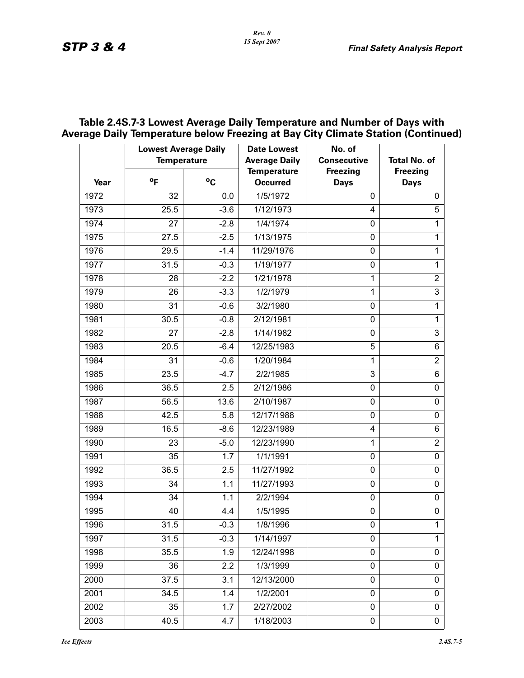# **Table 2.4S.7-3 Lowest Average Daily Temperature and Number of Days with Average Daily Temperature below Freezing at Bay City Climate Station (Continued)**

|      | <b>Lowest Average Daily</b><br><b>Temperature</b> |             | <b>Date Lowest</b><br><b>Average Daily</b> | No. of<br><b>Consecutive</b>   | <b>Total No. of</b>            |
|------|---------------------------------------------------|-------------|--------------------------------------------|--------------------------------|--------------------------------|
| Year | $^{\circ}$ F                                      | $\rm ^{o}C$ | <b>Temperature</b><br><b>Occurred</b>      | <b>Freezing</b><br><b>Days</b> | <b>Freezing</b><br><b>Days</b> |
| 1972 | 32                                                | 0.0         | 1/5/1972                                   | 0                              | 0                              |
| 1973 | 25.5                                              | $-3.6$      | 1/12/1973                                  | 4                              | 5                              |
| 1974 | 27                                                | $-2.8$      | 1/4/1974                                   | $\mathbf{0}$                   | 1                              |
| 1975 | 27.5                                              | $-2.5$      | 1/13/1975                                  | $\mathbf{0}$                   | 1                              |
| 1976 | 29.5                                              | $-1.4$      | 11/29/1976                                 | 0                              | 1                              |
| 1977 | 31.5                                              | $-0.3$      | 1/19/1977                                  | $\mathbf 0$                    | 1                              |
| 1978 | 28                                                | $-2.2$      | 1/21/1978                                  | 1                              | $\overline{2}$                 |
| 1979 | 26                                                | $-3.3$      | 1/2/1979                                   | 1                              | $\mathbf{3}$                   |
| 1980 | 31                                                | $-0.6$      | 3/2/1980                                   | $\mathbf{0}$                   | 1                              |
| 1981 | 30.5                                              | $-0.8$      | 2/12/1981                                  | $\mathbf{0}$                   | 1                              |
| 1982 | 27                                                | $-2.8$      | 1/14/1982                                  | 0                              | $\mathbf{3}$                   |
| 1983 | 20.5                                              | $-6.4$      | 12/25/1983                                 | 5                              | $\,6$                          |
| 1984 | 31                                                | $-0.6$      | 1/20/1984                                  | 1                              | $\overline{2}$                 |
| 1985 | 23.5                                              | $-4.7$      | 2/2/1985                                   | 3                              | 6                              |
| 1986 | 36.5                                              | 2.5         | 2/12/1986                                  | $\mathbf 0$                    | 0                              |
| 1987 | 56.5                                              | 13.6        | 2/10/1987                                  | $\mathbf{0}$                   | 0                              |
| 1988 | 42.5                                              | 5.8         | 12/17/1988                                 | 0                              | 0                              |
| 1989 | 16.5                                              | $-8.6$      | 12/23/1989                                 | 4                              | $\,6$                          |
| 1990 | 23                                                | $-5.0$      | 12/23/1990                                 | 1                              | $\overline{2}$                 |
| 1991 | 35                                                | 1.7         | 1/1/1991                                   | 0                              | 0                              |
| 1992 | 36.5                                              | 2.5         | 11/27/1992                                 | $\mathbf 0$                    | $\pmb{0}$                      |
| 1993 | 34                                                | 1.1         | 11/27/1993                                 | 0                              | 0                              |
| 1994 | 34                                                | 1.1         | 2/2/1994                                   | 0                              | 0                              |
| 1995 | 40                                                | 4.4         | 1/5/1995                                   | $\mathbf 0$                    | $\pmb{0}$                      |
| 1996 | 31.5                                              | $-0.3$      | 1/8/1996                                   | $\Omega$                       | 1                              |
| 1997 | 31.5                                              | $-0.3$      | 1/14/1997                                  | 0                              | 1                              |
| 1998 | 35.5                                              | 1.9         | 12/24/1998                                 | 0                              | $\pmb{0}$                      |
| 1999 | 36                                                | 2.2         | 1/3/1999                                   | 0                              | 0                              |
| 2000 | 37.5                                              | 3.1         | 12/13/2000                                 | 0                              | 0                              |
| 2001 | 34.5                                              | 1.4         | 1/2/2001                                   | 0                              | $\pmb{0}$                      |
| 2002 | 35                                                | 1.7         | 2/27/2002                                  | 0                              | 0                              |
| 2003 | 40.5                                              | 4.7         | 1/18/2003                                  | $\pmb{0}$                      | $\pmb{0}$                      |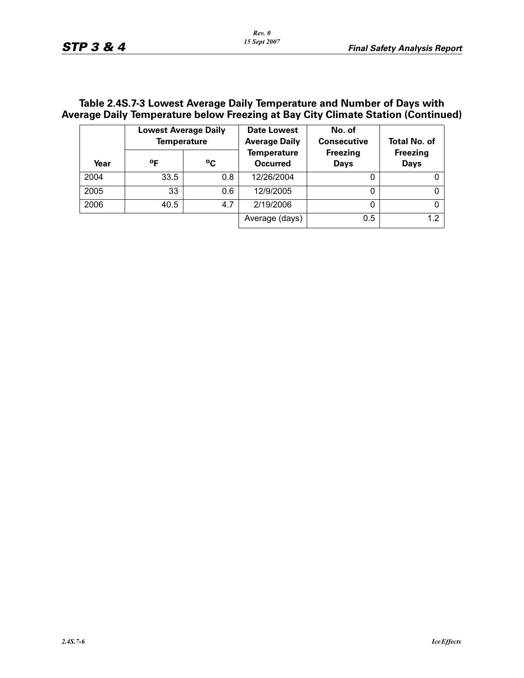## **Table 2.4S.7-3 Lowest Average Daily Temperature and Number of Days with Average Daily Temperature below Freezing at Bay City Climate Station (Continued)**

|      | <b>Lowest Average Daily</b><br><b>Temperature</b> |             | Date Lowest<br><b>Average Daily</b>   | No. of<br><b>Consecutive</b>   | <b>Total No. of</b>            |
|------|---------------------------------------------------|-------------|---------------------------------------|--------------------------------|--------------------------------|
| Year | οF                                                | $\rm ^{o}C$ | <b>Temperature</b><br><b>Occurred</b> | <b>Freezing</b><br><b>Days</b> | <b>Freezing</b><br><b>Days</b> |
| 2004 | 33.5                                              | 0.8         | 12/26/2004                            | 0                              |                                |
| 2005 | 33                                                | 0.6         | 12/9/2005                             | 0                              |                                |
| 2006 | 40.5                                              | 4.7         | 2/19/2006                             | 0                              | 0                              |
|      |                                                   |             | Average (days)                        | 0.5                            | 1.2                            |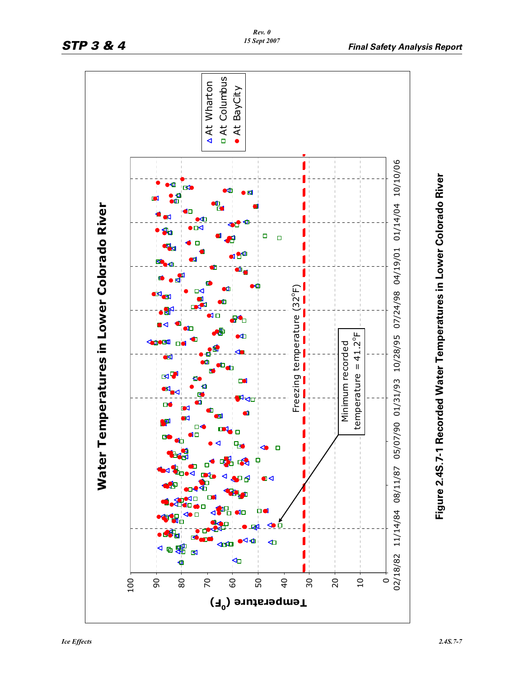